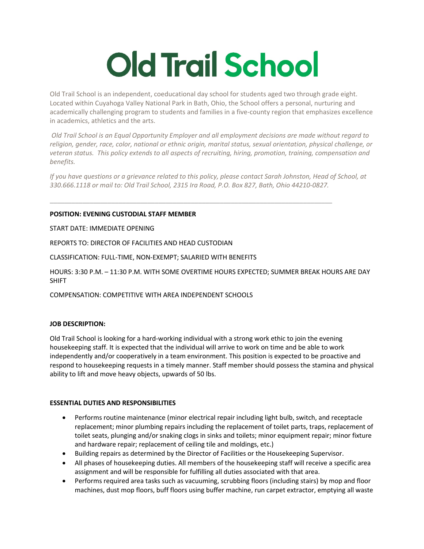# **Old Trail School**

Old Trail School is an independent, coeducational day school for students aged two through grade eight. Located within Cuyahoga Valley National Park in Bath, Ohio, the School offers a personal, nurturing and academically challenging program to students and families in a five-county region that emphasizes excellence in academics, athletics and the arts.

*Old Trail School is an Equal Opportunity Employer and all employment decisions are made without regard to religion, gender, race, color, national or ethnic origin, marital status, sexual orientation, physical challenge, or veteran status. This policy extends to all aspects of recruiting, hiring, promotion, training, compensation and benefits.* 

*If you have questions or a grievance related to this policy, please contact Sarah Johnston, Head of School, at 330.666.1118 or mail to: Old Trail School, 2315 Ira Road, P.O. Box 827, Bath, Ohio 44210-0827.*

\_\_\_\_\_\_\_\_\_\_\_\_\_\_\_\_\_\_\_\_\_\_\_\_\_\_\_\_\_\_\_\_\_\_\_\_\_\_\_\_\_\_\_\_\_\_\_\_\_\_\_\_\_\_\_\_\_\_\_\_\_\_\_\_\_\_\_\_\_\_\_\_\_\_\_\_\_\_

# **POSITION: EVENING CUSTODIAL STAFF MEMBER**

START DATE: IMMEDIATE OPENING

REPORTS TO: DIRECTOR OF FACILITIES AND HEAD CUSTODIAN

CLASSIFICATION: FULL-TIME, NON-EXEMPT; SALARIED WITH BENEFITS

HOURS: 3:30 P.M. – 11:30 P.M. WITH SOME OVERTIME HOURS EXPECTED; SUMMER BREAK HOURS ARE DAY SHIFT

COMPENSATION: COMPETITIVE WITH AREA INDEPENDENT SCHOOLS

# **JOB DESCRIPTION:**

Old Trail School is looking for a hard-working individual with a strong work ethic to join the evening housekeeping staff. It is expected that the individual will arrive to work on time and be able to work independently and/or cooperatively in a team environment. This position is expected to be proactive and respond to housekeeping requests in a timely manner. Staff member should possess the stamina and physical ability to lift and move heavy objects, upwards of 50 lbs.

# **ESSENTIAL DUTIES AND RESPONSIBILITIES**

- Performs routine maintenance (minor electrical repair including light bulb, switch, and receptacle replacement; minor plumbing repairs including the replacement of toilet parts, traps, replacement of toilet seats, plunging and/or snaking clogs in sinks and toilets; minor equipment repair; minor fixture and hardware repair; replacement of ceiling tile and moldings, etc.)
- Building repairs as determined by the Director of Facilities or the Housekeeping Supervisor.
- All phases of housekeeping duties. All members of the housekeeping staff will receive a specific area assignment and will be responsible for fulfilling all duties associated with that area.
- Performs required area tasks such as vacuuming, scrubbing floors (including stairs) by mop and floor machines, dust mop floors, buff floors using buffer machine, run carpet extractor, emptying all waste